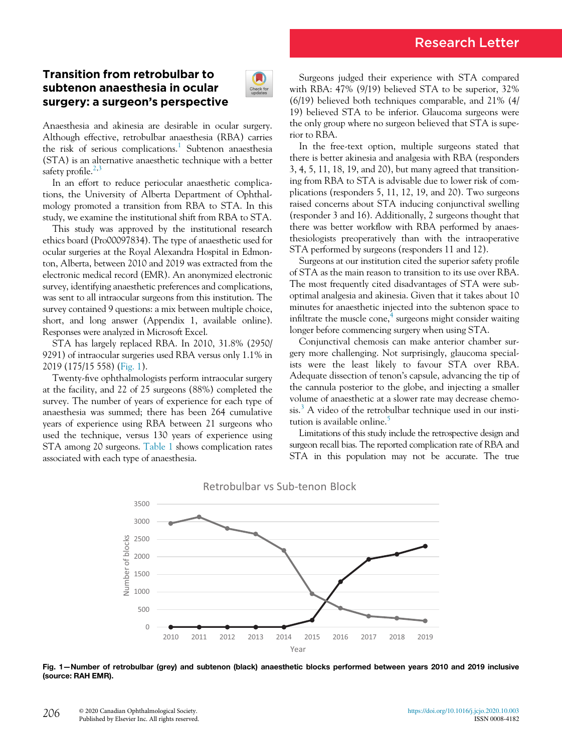# Transition from retrobulbar to subtenon anaesthesia in ocular surgery: a surgeon's perspective



Anaesthesia and akinesia are desirable in ocular surgery. Although effective, retrobulbar anaesthesia (RBA) carries the risk of serious complications.<sup>[1](#page-1-0)</sup> Subtenon anaesthesia (STA) is an alternative anaesthetic technique with a better safety profile. $2,3$  $2,3$ 

In an effort to reduce periocular anaesthetic complications, the University of Alberta Department of Ophthalmology promoted a transition from RBA to STA. In this study, we examine the institutional shift from RBA to STA.

This study was approved by the institutional research ethics board (Pro00097834). The type of anaesthetic used for ocular surgeries at the Royal Alexandra Hospital in Edmonton, Alberta, between 2010 and 2019 was extracted from the electronic medical record (EMR). An anonymized electronic survey, identifying anaesthetic preferences and complications, was sent to all intraocular surgeons from this institution. The survey contained 9 questions: a mix between multiple choice, short, and long answer (Appendix 1, available online). Responses were analyzed in Microsoft Excel.

STA has largely replaced RBA. In 2010, 31.8% (2950/ 9291) of intraocular surgeries used RBA versus only 1.1% in 2019 (175/15 558) ([Fig. 1\)](#page-0-0).

<span id="page-0-0"></span>Twenty-five ophthalmologists perform intraocular surgery at the facility, and 22 of 25 surgeons (88%) completed the survey. The number of years of experience for each type of anaesthesia was summed; there has been 264 cumulative years of experience using RBA between 21 surgeons who used the technique, versus 130 years of experience using STA among 20 surgeons. [Table 1](#page-1-3) shows complication rates associated with each type of anaesthesia.

Surgeons judged their experience with STA compared with RBA: 47% (9/19) believed STA to be superior, 32% (6/19) believed both techniques comparable, and 21% (4/ 19) believed STA to be inferior. Glaucoma surgeons were the only group where no surgeon believed that STA is superior to RBA.

In the free-text option, multiple surgeons stated that there is better akinesia and analgesia with RBA (responders 3, 4, 5, 11, 18, 19, and 20), but many agreed that transitioning from RBA to STA is advisable due to lower risk of complications (responders 5, 11, 12, 19, and 20). Two surgeons raised concerns about STA inducing conjunctival swelling (responder 3 and 16). Additionally, 2 surgeons thought that there was better workflow with RBA performed by anaesthesiologists preoperatively than with the intraoperative STA performed by surgeons (responders 11 and 12).

Surgeons at our institution cited the superior safety profile of STA as the main reason to transition to its use over RBA. The most frequently cited disadvantages of STA were suboptimal analgesia and akinesia. Given that it takes about 10 minutes for anaesthetic injected into the subtenon space to infiltrate the muscle cone, $\frac{4}{3}$  $\frac{4}{3}$  $\frac{4}{3}$  surgeons might consider waiting longer before commencing surgery when using STA.

Conjunctival chemosis can make anterior chamber surgery more challenging. Not surprisingly, glaucoma specialists were the least likely to favour STA over RBA. Adequate dissection of tenon's capsule, advancing the tip of the cannula posterior to the globe, and injecting a smaller volume of anaesthetic at a slower rate may decrease chemo- $\sin^3 A$  $\sin^3 A$  $\sin^3 A$  video of the retrobulbar technique used in our insti-tution is available online.<sup>[5](#page-1-5)</sup>

Limitations of this study include the retrospective design and surgeon recall bias. The reported complication rate of RBA and STA in this population may not be accurate. The true



## Retrobulbar vs Sub-tenon Block

Fig. 1—Number of retrobulbar (grey) and subtenon (black) anaesthetic blocks performed between years 2010 and 2019 inclusive (source: RAH EMR).